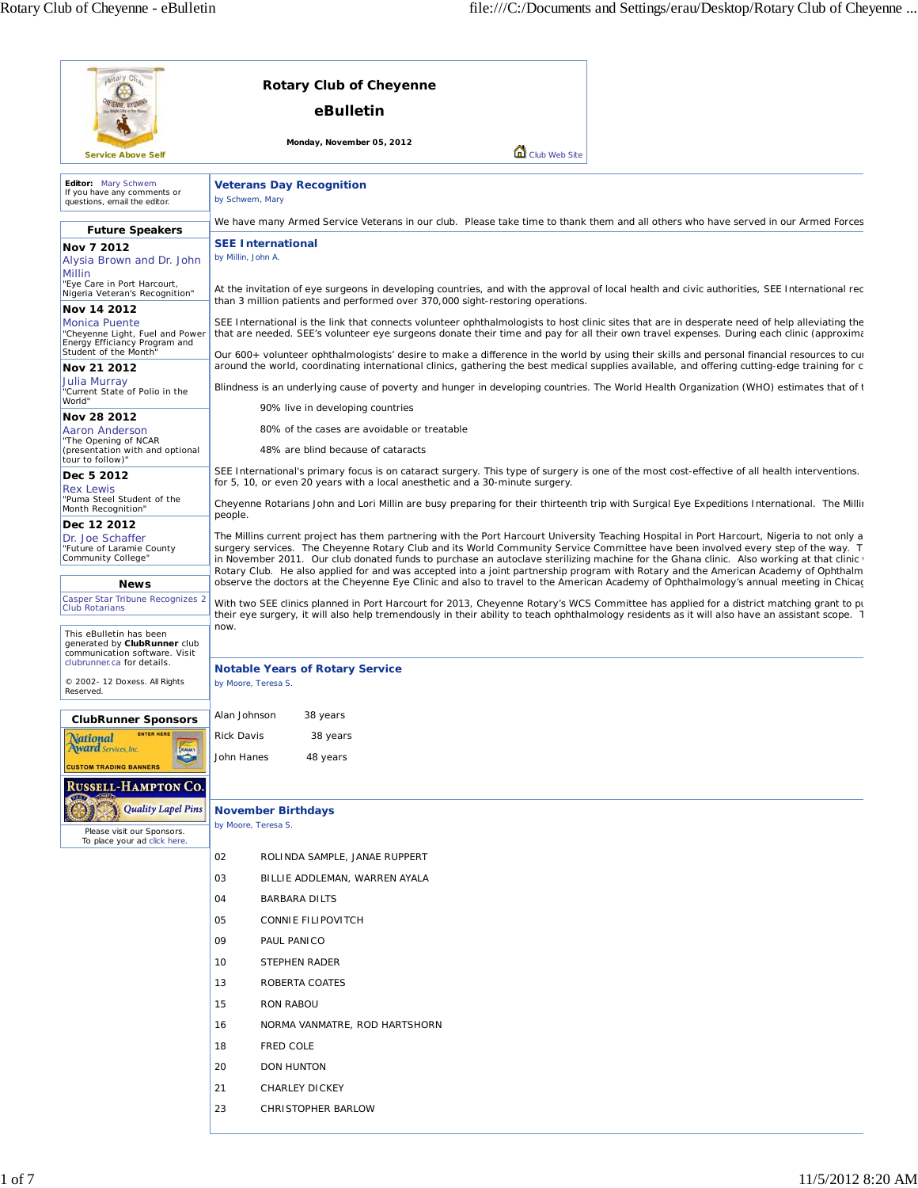| Monday, November 05, 2012<br>Club Web Site<br><b>Service Above Self</b>                                                                                                                                                                                                                                                                                                                                                                                                                                                                                                                                                                                 |  |
|---------------------------------------------------------------------------------------------------------------------------------------------------------------------------------------------------------------------------------------------------------------------------------------------------------------------------------------------------------------------------------------------------------------------------------------------------------------------------------------------------------------------------------------------------------------------------------------------------------------------------------------------------------|--|
|                                                                                                                                                                                                                                                                                                                                                                                                                                                                                                                                                                                                                                                         |  |
| Editor: Mary Schwem<br><b>Veterans Day Recognition</b><br>If you have any comments or<br>by Schwem, Mary<br>questions, email the editor.                                                                                                                                                                                                                                                                                                                                                                                                                                                                                                                |  |
| We have many Armed Service Veterans in our club. Please take time to thank them and all others who have served in our Armed Forces                                                                                                                                                                                                                                                                                                                                                                                                                                                                                                                      |  |
| <b>Future Speakers</b><br><b>SEE International</b><br>Nov 7 2012<br>by Millin, John A.<br>Alysia Brown and Dr. John<br><b>Millin</b>                                                                                                                                                                                                                                                                                                                                                                                                                                                                                                                    |  |
| "Eye Care in Port Harcourt,<br>At the invitation of eye surgeons in developing countries, and with the approval of local health and civic authorities, SEE International rec<br>Nigeria Veteran's Recognition"<br>than 3 million patients and performed over 370,000 sight-restoring operations.<br>Nov 14 2012                                                                                                                                                                                                                                                                                                                                         |  |
| SEE International is the link that connects volunteer ophthalmologists to host clinic sites that are in desperate need of help alleviating the<br><b>Monica Puente</b><br>"Cheyenne Light, Fuel and Power<br>that are needed. SEE's volunteer eye surgeons donate their time and pay for all their own travel expenses. During each clinic (approxima<br>Energy Efficiancy Program and<br>Student of the Month"<br>Our 600+ volunteer ophthalmologists' desire to make a difference in the world by using their skills and personal financial resources to cur                                                                                          |  |
| around the world, coordinating international clinics, gathering the best medical supplies available, and offering cutting-edge training for c<br>Nov 21 2012                                                                                                                                                                                                                                                                                                                                                                                                                                                                                            |  |
| Julia Murray<br>Blindness is an underlying cause of poverty and hunger in developing countries. The World Health Organization (WHO) estimates that of t<br>"Current State of Polio in the<br>World"                                                                                                                                                                                                                                                                                                                                                                                                                                                     |  |
| 90% live in developing countries<br>Nov 28 2012                                                                                                                                                                                                                                                                                                                                                                                                                                                                                                                                                                                                         |  |
| 80% of the cases are avoidable or treatable<br>Aaron Anderson<br>"The Opening of NCAR<br>48% are blind because of cataracts<br>(presentation with and optional                                                                                                                                                                                                                                                                                                                                                                                                                                                                                          |  |
| tour to follow)"<br>SEE International's primary focus is on cataract surgery. This type of surgery is one of the most cost-effective of all health interventions.<br>Dec 5 2012<br>for 5, 10, or even 20 years with a local anesthetic and a 30-minute surgery.<br><b>Rex Lewis</b>                                                                                                                                                                                                                                                                                                                                                                     |  |
| "Puma Steel Student of the<br>Cheyenne Rotarians John and Lori Millin are busy preparing for their thirteenth trip with Surgical Eye Expeditions International. The Millir<br>Month Recognition"<br>people.                                                                                                                                                                                                                                                                                                                                                                                                                                             |  |
| Dec 12 2012<br>The Millins current project has them partnering with the Port Harcourt University Teaching Hospital in Port Harcourt, Nigeria to not only a<br>Dr. Joe Schaffer<br>surgery services. The Cheyenne Rotary Club and its World Community Service Committee have been involved every step of the way. T<br>"Future of Laramie County<br>Community College"<br>in November 2011. Our club donated funds to purchase an autoclave sterilizing machine for the Ghana clinic. Also working at that clinic<br>Rotary Club. He also applied for and was accepted into a joint partnership program with Rotary and the American Academy of Ophthalm |  |
| observe the doctors at the Cheyenne Eye Clinic and also to travel to the American Academy of Ophthalmology's annual meeting in Chicag<br><b>News</b>                                                                                                                                                                                                                                                                                                                                                                                                                                                                                                    |  |
| Casper Star Tribune Recognizes 2<br>With two SEE clinics planned in Port Harcourt for 2013, Cheyenne Rotary's WCS Committee has applied for a district matching grant to pu<br><b>Club Rotarians</b><br>their eye surgery, it will also help tremendously in their ability to teach ophthalmology residents as it will also have an assistant scope. I                                                                                                                                                                                                                                                                                                  |  |
| now.<br>This eBulletin has been<br>generated by ClubRunner club<br>communication software. Visit<br>clubrunner.ca for details.                                                                                                                                                                                                                                                                                                                                                                                                                                                                                                                          |  |
| <b>Notable Years of Rotary Service</b><br>© 2002-12 Doxess. All Rights<br>by Moore, Teresa S.<br>Reserved.                                                                                                                                                                                                                                                                                                                                                                                                                                                                                                                                              |  |
| Alan Johnson<br>38 years<br><b>ClubRunner Sponsors</b>                                                                                                                                                                                                                                                                                                                                                                                                                                                                                                                                                                                                  |  |
| <b>ENTER HERE</b><br><b>Rick Davis</b><br>38 years<br><b><i><u><b>National</b></u></i></b><br><b>Province</b><br><b>Award</b> Services, Inc.<br>John Hanes<br>48 years                                                                                                                                                                                                                                                                                                                                                                                                                                                                                  |  |
| <b>CUSTOM TRADING BANNERS</b><br><b>RUSSELL-HAMPTON CO.</b>                                                                                                                                                                                                                                                                                                                                                                                                                                                                                                                                                                                             |  |
| <b>Quality Lapel Pins</b><br><b>November Birthdays</b><br>by Moore, Teresa S.                                                                                                                                                                                                                                                                                                                                                                                                                                                                                                                                                                           |  |
| Please visit our Sponsors.<br>To place your ad click here.<br>02<br>ROLINDA SAMPLE, JANAE RUPPERT                                                                                                                                                                                                                                                                                                                                                                                                                                                                                                                                                       |  |
| 03                                                                                                                                                                                                                                                                                                                                                                                                                                                                                                                                                                                                                                                      |  |
| BILLIE ADDLEMAN, WARREN AYALA<br>04<br>BARBARA DILTS                                                                                                                                                                                                                                                                                                                                                                                                                                                                                                                                                                                                    |  |
| 05                                                                                                                                                                                                                                                                                                                                                                                                                                                                                                                                                                                                                                                      |  |
| <b>CONNIE FILIPOVITCH</b><br>09<br>PAUL PANICO                                                                                                                                                                                                                                                                                                                                                                                                                                                                                                                                                                                                          |  |
| 10<br>STEPHEN RADER                                                                                                                                                                                                                                                                                                                                                                                                                                                                                                                                                                                                                                     |  |
| 13<br>ROBERTA COATES                                                                                                                                                                                                                                                                                                                                                                                                                                                                                                                                                                                                                                    |  |
| 15<br>RON RABOU                                                                                                                                                                                                                                                                                                                                                                                                                                                                                                                                                                                                                                         |  |
| 16<br>NORMA VANMATRE, ROD HARTSHORN                                                                                                                                                                                                                                                                                                                                                                                                                                                                                                                                                                                                                     |  |
|                                                                                                                                                                                                                                                                                                                                                                                                                                                                                                                                                                                                                                                         |  |
| 18<br><b>FRED COLE</b>                                                                                                                                                                                                                                                                                                                                                                                                                                                                                                                                                                                                                                  |  |
| 20<br>DON HUNTON                                                                                                                                                                                                                                                                                                                                                                                                                                                                                                                                                                                                                                        |  |
| 21<br>CHARLEY DICKEY                                                                                                                                                                                                                                                                                                                                                                                                                                                                                                                                                                                                                                    |  |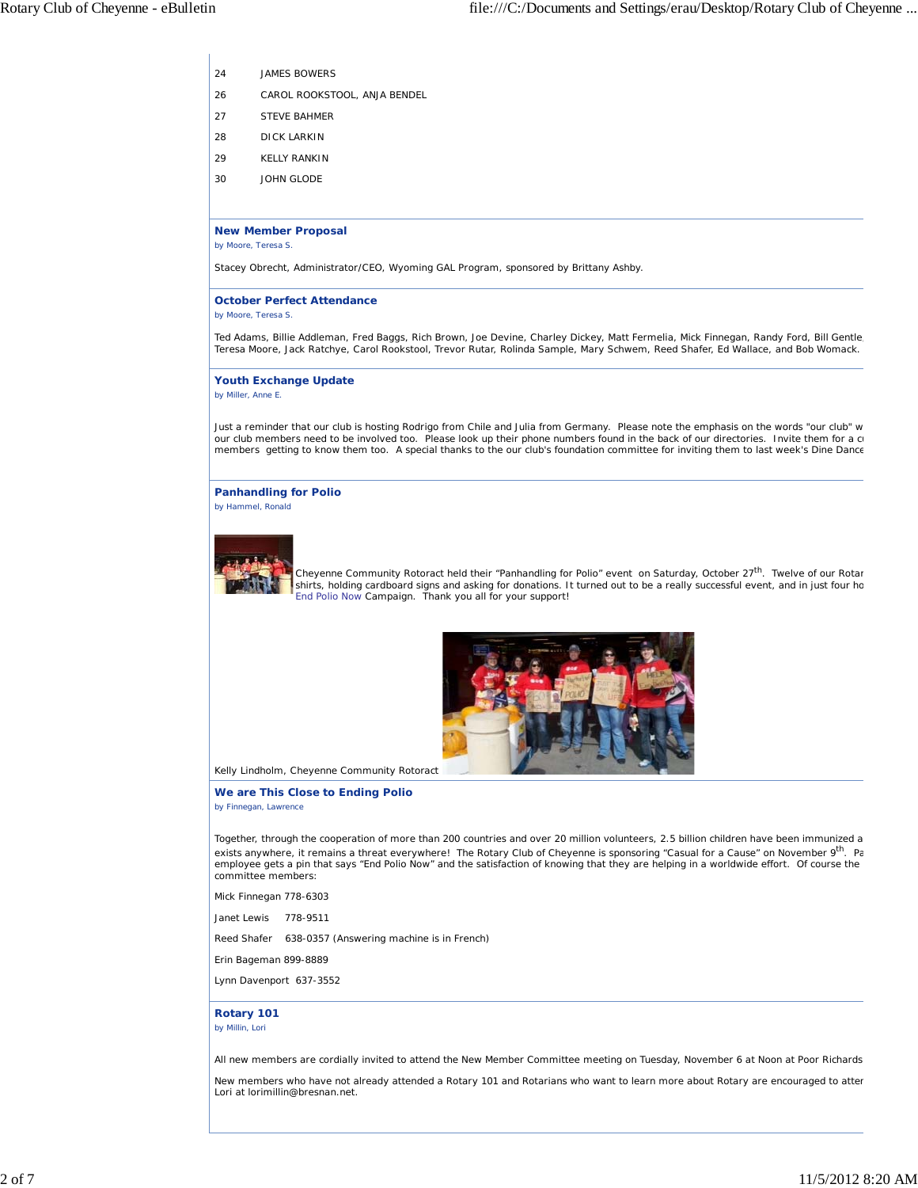- 24 JAMES BOWERS
- 26 CAROL ROOKSTOOL, ANJA BENDEL
- 27 STEVE BAHMER
- 28 DICK LARKIN
- 29 KELLY RANKIN
- 30 JOHN GLODE

#### **New Member Proposal**

*by Moore, Teresa S.*

Stacey Obrecht, Administrator/CEO, Wyoming GAL Program, sponsored by Brittany Ashby.

#### **October Perfect Attendance** *by Moore, Teresa S.*

Ted Adams, Billie Addleman, Fred Baggs, Rich Brown, Joe Devine, Charley Dickey, Matt Fermelia, Mick Finnegan, Randy Ford, Bill Gentle<br>Teresa Moore, Jack Ratchye, Carol Rookstool, Trevor Rutar, Rolinda Sample, Mary Schwem,

**Youth Exchange Update** *by Miller, Anne E.*

Just a reminder that our club is hosting Rodrigo from Chile and Julia from Germany. Please note the emphasis on the words "our club" w our club members need to be involved too. Please look up their phone numbers found in the back of our directories. Invite them for a cu members getting to know them too. A special thanks to the our club's foundation committee for inviting them to last week's Dine Dance

**Panhandling for Polio** *by Hammel, Ronald*



Cheyenne Community Rotoract held their "Panhandling for Polio" event on Saturday, October 27<sup>th</sup>. Twelve of our Rotar shirts, holding cardboard signs and asking for donations. It turned out to be a really successful event, and in just four ho End Polio Now Campaign. Thank you all for your support!



Kelly Lindholm, Cheyenne Community Rotoract

#### **We are This Close to Ending Polio** *by Finnegan, Lawrence*

Together, through the cooperation of more than 200 countries and over 20 million volunteers, 2.5 billion children have been immunized a exists anywhere, it remains a threat everywhere! The Rotary Club of Cheyenne is sponsoring "Casual for a Cause" on November 9<sup>th</sup>. Pa employee gets a pin that says "End Polio Now" and the satisfaction of knowing that they are helping in a worldwide effort. Of course the committee members:

Mick Finnegan 778-6303

Janet Lewis 778-9511

Reed Shafer 638-0357 (Answering machine is in French)

Erin Bageman 899-8889

Lynn Davenport 637-3552

#### **Rotary 101** *by Millin, Lori*

All new members are cordially invited to attend the New Member Committee meeting on Tuesday, November 6 at Noon at Poor Richards

New members who have not already attended a Rotary 101 and Rotarians who want to learn more about Rotary are encouraged to atten Lori at lorimillin@bresnan.net.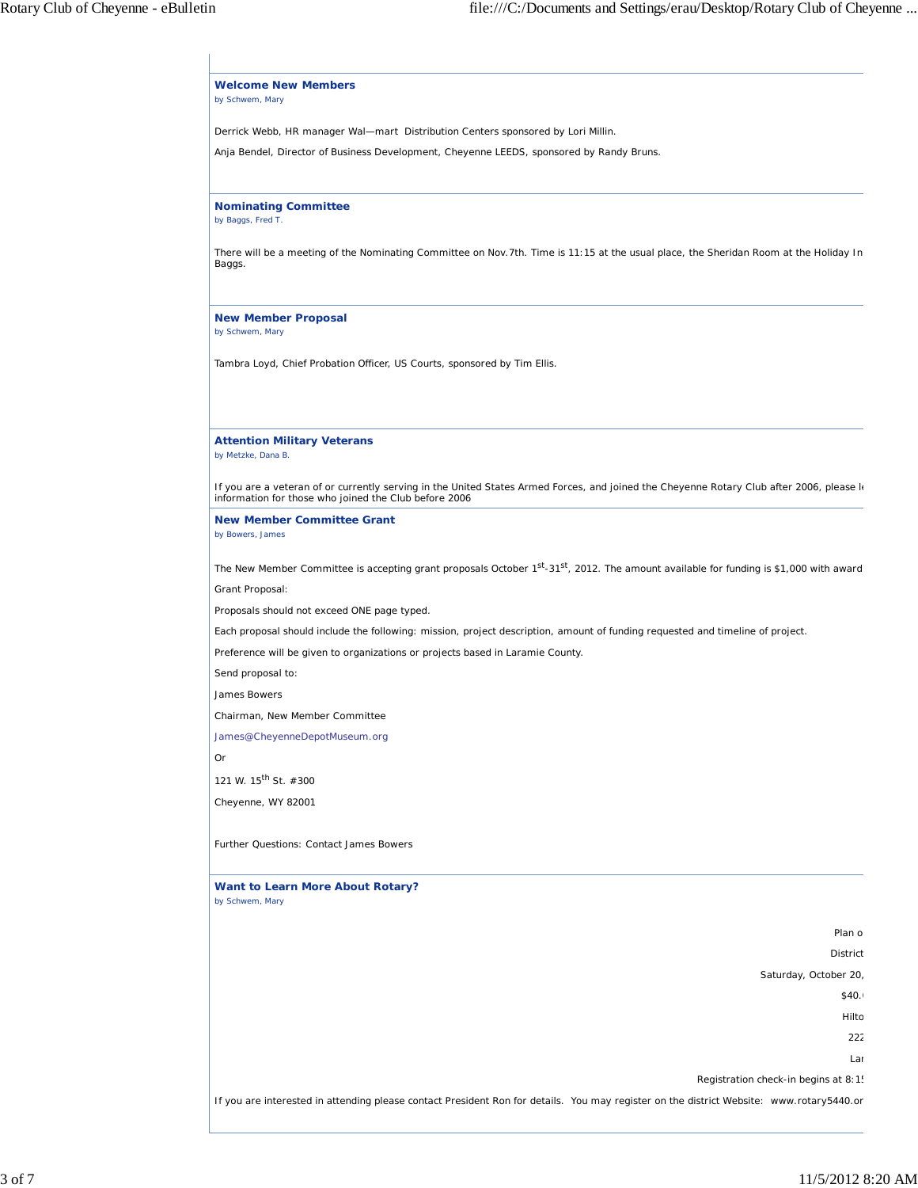| There will be a meeting of the Nominating Committee on Nov. 7th. Time is 11:15 at the usual place, the Sheridan Room at the Holiday In<br>by Metzke, Dana B.<br>If you are a veteran of or currently serving in the United States Armed Forces, and joined the Cheyenne Rotary Club after 2006, please k<br>The New Member Committee is accepting grant proposals October 1 <sup>st</sup> -31 <sup>st</sup> , 2012. The amount available for funding is \$1,000 with award<br>Plan o<br>District<br>Saturday, October 20,<br>\$40.1<br>Hilto<br>222<br>Lar<br>Registration check-in begins at 8:1!<br>If you are interested in attending please contact President Ron for details. You may register on the district Website: www.rotary5440.or |                                                                                                                                |
|------------------------------------------------------------------------------------------------------------------------------------------------------------------------------------------------------------------------------------------------------------------------------------------------------------------------------------------------------------------------------------------------------------------------------------------------------------------------------------------------------------------------------------------------------------------------------------------------------------------------------------------------------------------------------------------------------------------------------------------------|--------------------------------------------------------------------------------------------------------------------------------|
|                                                                                                                                                                                                                                                                                                                                                                                                                                                                                                                                                                                                                                                                                                                                                | <b>Welcome New Members</b><br>by Schwem, Mary                                                                                  |
|                                                                                                                                                                                                                                                                                                                                                                                                                                                                                                                                                                                                                                                                                                                                                | Derrick Webb, HR manager Wal-mart Distribution Centers sponsored by Lori Millin.                                               |
|                                                                                                                                                                                                                                                                                                                                                                                                                                                                                                                                                                                                                                                                                                                                                | Anja Bendel, Director of Business Development, Cheyenne LEEDS, sponsored by Randy Bruns.                                       |
|                                                                                                                                                                                                                                                                                                                                                                                                                                                                                                                                                                                                                                                                                                                                                |                                                                                                                                |
|                                                                                                                                                                                                                                                                                                                                                                                                                                                                                                                                                                                                                                                                                                                                                | <b>Nominating Committee</b><br>by Baggs, Fred T.                                                                               |
|                                                                                                                                                                                                                                                                                                                                                                                                                                                                                                                                                                                                                                                                                                                                                | Baggs.                                                                                                                         |
|                                                                                                                                                                                                                                                                                                                                                                                                                                                                                                                                                                                                                                                                                                                                                | <b>New Member Proposal</b><br>by Schwem, Mary                                                                                  |
|                                                                                                                                                                                                                                                                                                                                                                                                                                                                                                                                                                                                                                                                                                                                                | Tambra Loyd, Chief Probation Officer, US Courts, sponsored by Tim Ellis.                                                       |
|                                                                                                                                                                                                                                                                                                                                                                                                                                                                                                                                                                                                                                                                                                                                                | <b>Attention Military Veterans</b>                                                                                             |
|                                                                                                                                                                                                                                                                                                                                                                                                                                                                                                                                                                                                                                                                                                                                                | information for those who joined the Club before 2006                                                                          |
|                                                                                                                                                                                                                                                                                                                                                                                                                                                                                                                                                                                                                                                                                                                                                | <b>New Member Committee Grant</b><br>by Bowers, James                                                                          |
|                                                                                                                                                                                                                                                                                                                                                                                                                                                                                                                                                                                                                                                                                                                                                |                                                                                                                                |
|                                                                                                                                                                                                                                                                                                                                                                                                                                                                                                                                                                                                                                                                                                                                                | Grant Proposal:                                                                                                                |
|                                                                                                                                                                                                                                                                                                                                                                                                                                                                                                                                                                                                                                                                                                                                                | Proposals should not exceed ONE page typed.                                                                                    |
|                                                                                                                                                                                                                                                                                                                                                                                                                                                                                                                                                                                                                                                                                                                                                | Each proposal should include the following: mission, project description, amount of funding requested and timeline of project. |
|                                                                                                                                                                                                                                                                                                                                                                                                                                                                                                                                                                                                                                                                                                                                                | Preference will be given to organizations or projects based in Laramie County.                                                 |
|                                                                                                                                                                                                                                                                                                                                                                                                                                                                                                                                                                                                                                                                                                                                                | Send proposal to:                                                                                                              |
|                                                                                                                                                                                                                                                                                                                                                                                                                                                                                                                                                                                                                                                                                                                                                | James Bowers                                                                                                                   |
|                                                                                                                                                                                                                                                                                                                                                                                                                                                                                                                                                                                                                                                                                                                                                | Chairman, New Member Committee                                                                                                 |
|                                                                                                                                                                                                                                                                                                                                                                                                                                                                                                                                                                                                                                                                                                                                                | James@CheyenneDepotMuseum.org                                                                                                  |
|                                                                                                                                                                                                                                                                                                                                                                                                                                                                                                                                                                                                                                                                                                                                                | Or                                                                                                                             |
|                                                                                                                                                                                                                                                                                                                                                                                                                                                                                                                                                                                                                                                                                                                                                | 121 W. 15 <sup>th</sup> St. #300                                                                                               |
|                                                                                                                                                                                                                                                                                                                                                                                                                                                                                                                                                                                                                                                                                                                                                | Cheyenne, WY 82001                                                                                                             |
|                                                                                                                                                                                                                                                                                                                                                                                                                                                                                                                                                                                                                                                                                                                                                | Further Questions: Contact James Bowers                                                                                        |
|                                                                                                                                                                                                                                                                                                                                                                                                                                                                                                                                                                                                                                                                                                                                                | <b>Want to Learn More About Rotary?</b><br>by Schwem, Mary                                                                     |
|                                                                                                                                                                                                                                                                                                                                                                                                                                                                                                                                                                                                                                                                                                                                                |                                                                                                                                |
|                                                                                                                                                                                                                                                                                                                                                                                                                                                                                                                                                                                                                                                                                                                                                |                                                                                                                                |
|                                                                                                                                                                                                                                                                                                                                                                                                                                                                                                                                                                                                                                                                                                                                                |                                                                                                                                |
|                                                                                                                                                                                                                                                                                                                                                                                                                                                                                                                                                                                                                                                                                                                                                |                                                                                                                                |
|                                                                                                                                                                                                                                                                                                                                                                                                                                                                                                                                                                                                                                                                                                                                                |                                                                                                                                |
|                                                                                                                                                                                                                                                                                                                                                                                                                                                                                                                                                                                                                                                                                                                                                |                                                                                                                                |
|                                                                                                                                                                                                                                                                                                                                                                                                                                                                                                                                                                                                                                                                                                                                                |                                                                                                                                |
|                                                                                                                                                                                                                                                                                                                                                                                                                                                                                                                                                                                                                                                                                                                                                |                                                                                                                                |
|                                                                                                                                                                                                                                                                                                                                                                                                                                                                                                                                                                                                                                                                                                                                                |                                                                                                                                |
|                                                                                                                                                                                                                                                                                                                                                                                                                                                                                                                                                                                                                                                                                                                                                |                                                                                                                                |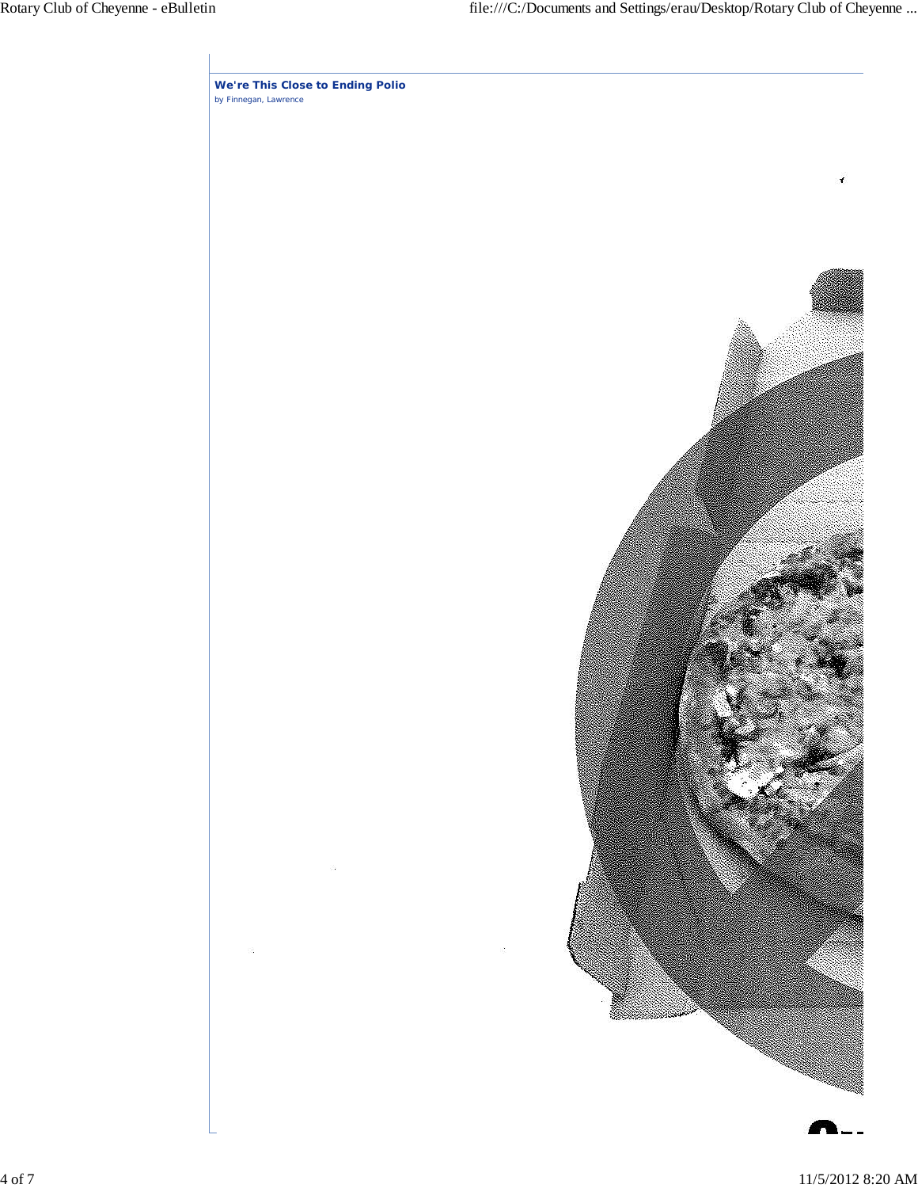**We're This Close to Ending Polio** *by Finnegan, Lawrence*

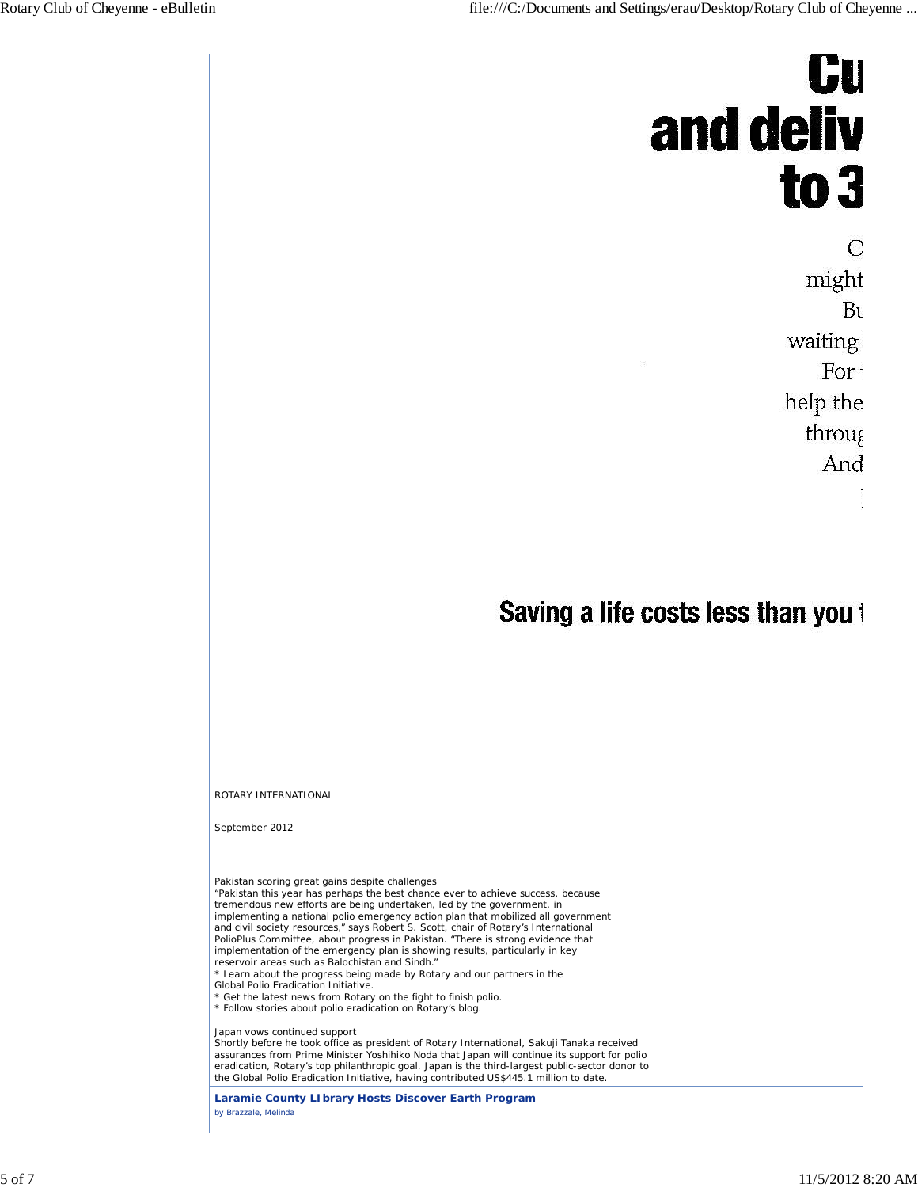# **Gu** and deliv  $to 3$

О might Bu waiting For t help the throug And

## Saving a life costs less than you t

ROTARY INTERNATIONAL

September 2012

Pakistan scoring great gains despite challenges "Pakistan this year has perhaps the best chance ever to achieve success, because<br>tremendous new efforts are being undertaken, led by the government, in<br>implementing a national polio emergency action plan that mobilized all and civil society resources," says Robert S. Scott, chair of Rotary's International PolioPlus Committee, about progress in Pakistan. "There is strong evidence that implementation of the emergency plan is showing results, particularly in key reservoir areas such as Balochistan and Sindh." \* Learn about the progress being made by Rotary and our partners in the Global Polio Eradication Initiative. \* Get the latest news from Rotary on the fight to finish polio. \* Follow stories about polio eradication on Rotary's blog. Japan vows continued support

Shortly before he took office as president of Rotary International, Sakuji Tanaka received assurances from Prime Minister Yoshihiko Noda that Japan will continue its support for polio<br>eradication, Rotary's top philanthropic goal. Japan is the third-largest public-sector donor to<br>the Global Polio Eradication Init

**Laramie County LIbrary Hosts Discover Earth Program** *by Brazzale, Melinda*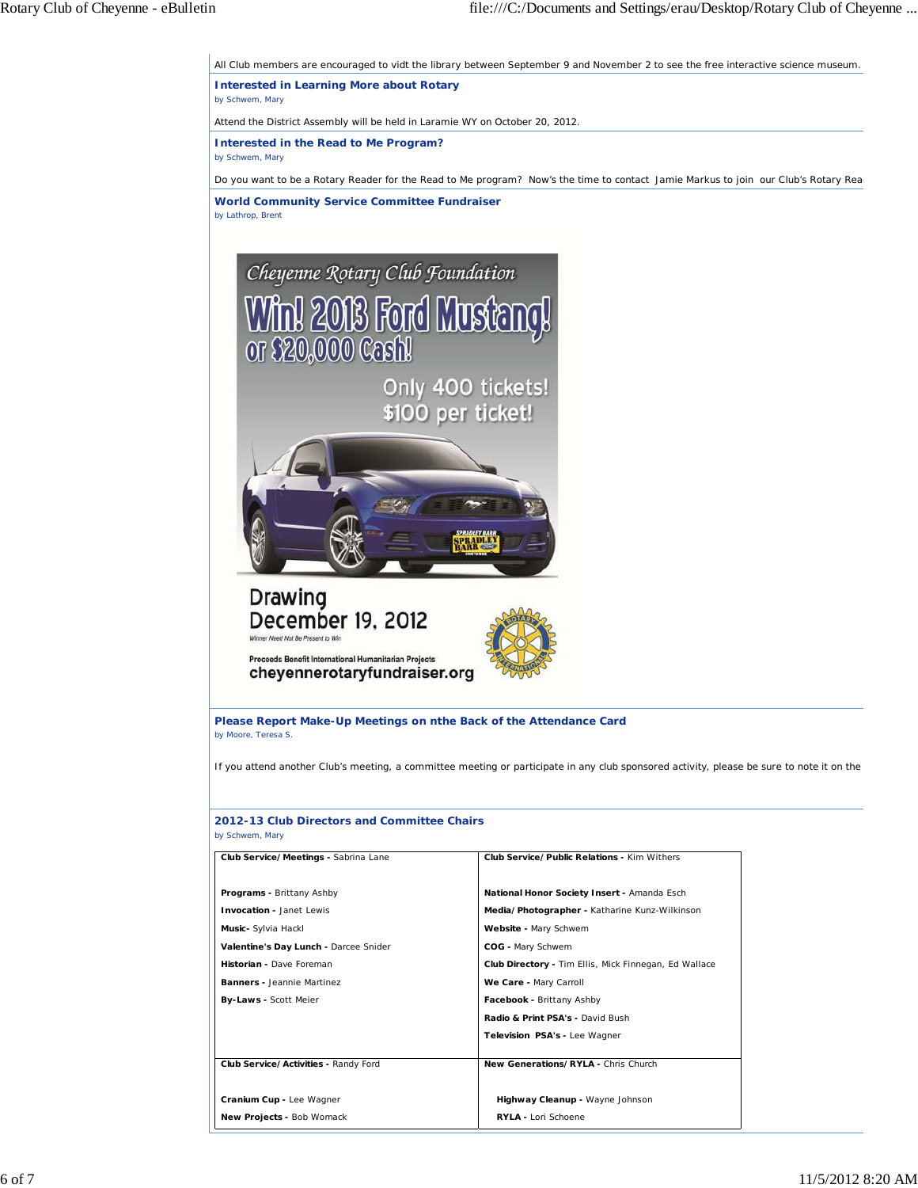All Club members are encouraged to vidt the library between September 9 and November 2 to see the free interactive science museum.

**Interested in Learning More about Rotary** *by Schwem, Mary*

Attend the District Assembly will be held in Laramie WY on October 20, 2012.

**Interested in the Read to Me Program?** *by Schwem, Mary*

Do you want to be a Rotary Reader for the Read to Me program? Now's the time to contact Jamie Markus to join our Club's Rotary Rea

**World Community Service Committee Fundraiser** *by Lathrop, Brent*





cheyennerotaryfundraiser.org

**Please Report Make-Up Meetings on nthe Back of the Attendance Card** *by Moore, Teresa S.*

If you attend another Club's meeting, a committee meeting or participate in any club sponsored activity, please be sure to note it on the

| Club Service/Meetings - Sabrina Lane  | Club Service/Public Relations - Kim Withers                  |
|---------------------------------------|--------------------------------------------------------------|
| Programs - Brittany Ashby             | National Honor Society Insert - Amanda Esch                  |
| <b>Invocation - Janet Lewis</b>       | Media/Photographer - Katharine Kunz-Wilkinson                |
| Music- Sylvia Hackl                   | Website - Mary Schwem                                        |
| Valentine's Day Lunch - Darcee Snider | COG - Mary Schwem                                            |
| Historian - Dave Foreman              | <b>Club Directory - Tim Ellis, Mick Finnegan, Ed Wallace</b> |
| <b>Banners -</b> Jeannie Martinez     | We Care - Mary Carroll                                       |
| <b>By-Laws - Scott Meier</b>          | Facebook - Brittany Ashby                                    |
|                                       | Radio & Print PSA's - David Bush                             |
|                                       | Television PSA's - Lee Wagner                                |
| Club Service/Activities - Randy Ford  | New Generations/RYLA - Chris Church                          |
| Cranium Cup - Lee Wagner              | Highway Cleanup - Wayne Johnson                              |
| <b>New Projects - Bob Womack</b>      | RYLA - Lori Schoene                                          |

### **2012-13 Club Directors and Committee Chairs**